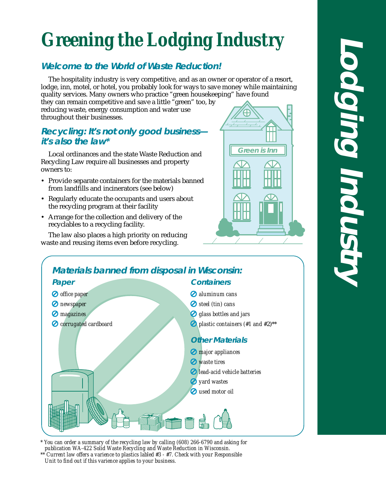# *Greening the Lodging Industry*

## **Welcome to the World of Waste Reduction!**

The hospitality industry is very competitive, and as an owner or operator of a resort, lodge, inn, motel, or hotel, you probably look for ways to save money while maintaining quality services. Many owners who practice "green housekeeping" have found

they can remain competitive and save a little "green" too, by reducing waste, energy consumption and water use throughout their businesses.

### **Recycling: It's not only good business it's also the law\***

Local ordinances and the state Waste Reduction and Recycling Law require all businesses and property owners to:

- Provide separate containers for the materials banned from landfills and incinerators (see below)
- Regularly educate the occupants and users about the recycling program at their facility
- Arrange for the collection and delivery of the recyclables to a recycling facility.

The law also places a high priority on reducing waste and reusing items even before recycling.





*\* You can order a summary of the recycling law by calling (608) 266-6790 and asking for publication WA-422 Solid Waste Recycling and Waste Reduction in Wisconsin. \*\* Current law offers a varience to plastics labled #3 - #7. Check with your Responsible*



*Unit to find out if this varience applies to your business.*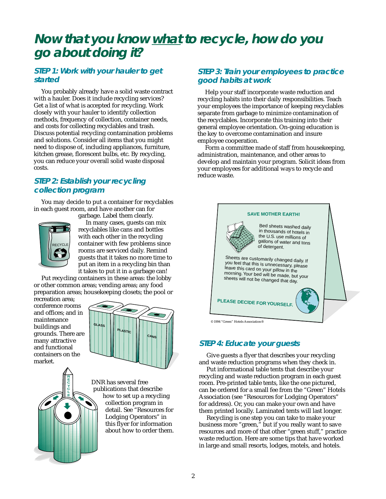# **Now that you know what to recycle, how do you go about doing it?**

#### **STEP 1: Work with your hauler to get started**

You probably already have a solid waste contract with a hauler. Does it include recycling services? Get a list of what is accepted for recycling. Work closely with your hauler to identify collection methods, frequency of collection, container needs, and costs for collecting recyclables and trash. Discuss potential recycling contamination problems and solutions. Consider all items that you might need to dispose of, including appliances, furniture, kitchen grease, florescent bulbs, etc. By recycling, you can reduce your overall solid waste disposal costs.

#### **STEP 2: Establish your recycling collection program**

You may decide to put a container for recyclables in each guest room, and have another can for garbage. Label them clearly.



In many cases, guests can mix recyclables like cans and bottles with each other in the recycling container with few problems since rooms are serviced daily. Remind guests that it takes no more time to put an item in a recycling bin than it takes to put it in a garbage can!

Put recycling containers in these areas: the lobby or other common areas; vending areas; any food preparation areas; housekeeping closets; the pool or

recreation area; conference rooms and offices; and in maintenance buildings and grounds. There are many attractive and functional containers on the market.





DNR has several free publications that describe how to set up a recycling collection program in detail. See "Resources for Lodging Operators" in this flyer for information about how to order them.

#### **STEP 3: Train your employees to practice good habits at work**

Help your staff incorporate waste reduction and recycling habits into their daily responsibilities. Teach your employees the importance of keeping recyclables separate from garbage to minimize contamination of the recyclables. Incorporate this training into their general employee orientation. On-going education is the key to overcome contamination and insure employee cooperation.

Form a committee made of staff from housekeeping, administration, maintenance, and other areas to develop and maintain your program. Solicit ideas from your employees for additional ways to recycle and reduce waste.



#### **STEP 4: Educate your guests**

Give guests a flyer that describes your recycling and waste reduction programs when they check in.

Put informational table tents that describe your recycling and waste reduction program in each guest room. Pre-printed table tents, like the one pictured, can be ordered for a small fee from the "Green" Hotels Association (see "Resources for Lodging Operators" for address). Or, you can make your own and have them printed locally. Laminated tents will last longer.

Recycling is one step you can take to make your business more "green," but if you really want to save resources and more of that other "green stuff," practice waste reduction. Here are some tips that have worked in large and small resorts, lodges, motels, and hotels.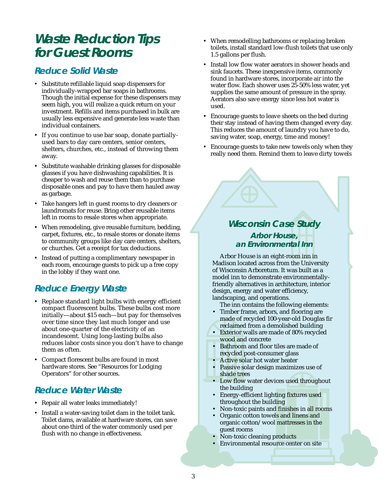# **Waste Reduction Tips for Guest Rooms**

#### **Reduce Solid Waste**

- Substitute refillable liquid soap dispensers for individually-wrapped bar soaps in bathrooms. Though the initial expense for these dispensers may seem high, you will realize a quick return on your investment. Refills and items purchased in bulk are usually less expensive and generate less waste than individual containers.
- If you continue to use bar soap, donate partiallyused bars to day care centers, senior centers, shelters, churches, etc., instead of throwing them away.
- Substitute washable drinking glasses for disposable glasses if you have dishwashing capabilities. It is cheaper to wash and reuse them than to purchase disposable ones and pay to have them hauled away as garbage.
- Take hangers left in guest rooms to dry cleaners or laundromats for reuse. Bring other reusable items left in rooms to resale stores when appropriate.
- When remodeling, give reusable furniture, bedding, carpet, fixtures, etc., to resale stores or donate items to community groups like day care centers, shelters, or churches. Get a receipt for tax deductions.
- Instead of putting a complimentary newspaper in each room, encourage guests to pick up a free copy in the lobby if they want one.

## **Reduce Energy Waste**

- Replace standard light bulbs with energy efficient compact fluorescent bulbs. These bulbs cost more initially—about \$15 each—but pay for themselves over time since they last much longer and use about one-quarter of the electricity of an incandescent. Using long-lasting bulbs also reduces labor costs since you don't have to change them as often.
- Compact florescent bulbs are found in most hardware stores. See "Resources for Lodging Operators" for other sources.

#### **Reduce Water Waste**

- Repair all water leaks immediately!
- Install a water-saving toilet dam in the toilet tank. Toilet dams, available at hardware stores, can save about one-third of the water commonly used per flush with no change in effectiveness.
- When remodelling bathrooms or replacing broken toilets, install standard low-flush toilets that use only 1.5 gallons per flush.
- Install low flow water aerators in shower heads and sink faucets. These inexpensive items, commonly found in hardware stores, incorporate air into the water flow. Each shower uses 25-50% less water, yet supplies the same amount of pressure in the spray. Aerators also save energy since less hot water is used.
- Encourage guests to leave sheets on the bed during their stay instead of having them changed every day. This reduces the amount of laundry you have to do, saving water, soap, energy, time and money!
- Encourage guests to take new towels only when they really need them. Remind them to leave dirty towels

#### **Wisconsin Case Study Arbor House, an Environmental Inn**

Arbor House is an eight-room inn in Madison located across from the University of Wisconsin Arboretum. It was built as a model inn to demonstrate environmentallyfriendly alternatives in architecture, interior design, energy and water efficiency, landscaping, and operations.

The inn contains the following elements:

- Timber frame, arbors, and flooring are made of recycled 100-year-old Douglas fir reclaimed from a demolished building
- Exterior walls are made of 80% recycled wood and concrete
- Bathroom and floor tiles are made of recycled post-consumer glass
- Active solar hot water heater
- Passive solar design maximizes use of shade trees
- Low flow water devices used throughout the building
- Energy-efficient lighting fixtures used throughout the building
- Non-toxic paints and finishes in all rooms
- Organic cotton towels and linens and organic cotton/wool mattresses in the guest rooms
- Non-toxic cleaning products
- Environmental resource center on site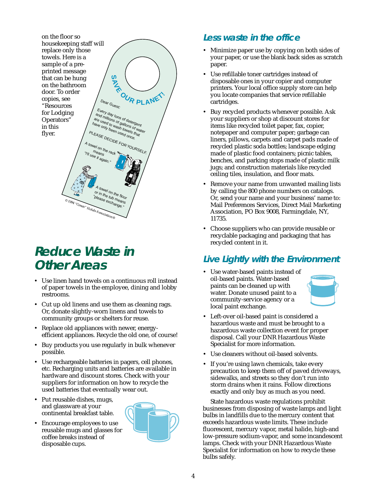

# **Reduce Waste in Other Areas**

- Use linen hand towels on a continuous roll instead of paper towels in the employee, dining and lobby restrooms.
- Cut up old linens and use them as cleaning rags. Or, donate slightly-worn linens and towels to community groups or shelters for reuse.
- Replace old appliances with newer, energyefficient appliances. Recycle the old one, of course!
- Buy products you use regularly in bulk whenever possible.
- Use rechargeable batteries in pagers, cell phones, etc. Recharging units and batteries are available in hardware and discount stores. Check with your suppliers for information on how to recycle the used batteries that eventually wear out.
- Put reusable dishes, mugs, and glassware at your continental breakfast table.
- Encourage employees to use reusable mugs and glasses for coffee breaks instead of disposable cups.



## **Less waste in the office**

- Minimize paper use by copying on both sides of your paper, or use the blank back sides as scratch paper.
- Use refillable toner cartridges instead of disposable ones in your copier and computer printers. Your local office supply store can help you locate companies that service refillable cartridges.
- Buy recycled products whenever possible. Ask your suppliers or shop at discount stores for items like recycled toilet paper, fax, copier, notepaper and computer paper; garbage can liners, pillows, carpets and carpet pads made of recycled plastic soda bottles; landscape edging made of plastic food containers; picnic tables, benches, and parking stops made of plastic milk jugs; and construction materials like recycled ceiling tiles, insulation, and floor mats.
- Remove your name from unwanted mailing lists by calling the 800 phone numbers on catalogs. Or, send your name and your business' name to: Mail Preferences Services, Direct Mail Marketing Association, PO Box 9008, Farmingdale, NY, 11735.
- Choose suppliers who can provide reusable or recyclable packaging and packaging that has recycled content in it.

## **Live Lightly with the Environment**

• Use water-based paints instead of oil-based paints. Water-based paints can be cleaned up with water. Donate unused paint to a community-service agency or a local paint exchange.



- Left-over oil-based paint is considered a hazardous waste and must be brought to a hazardous waste collection event for proper disposal. Call your DNR Hazardous Waste Specialist for more information.
- Use cleaners without oil-based solvents.
- If you're using lawn chemicals, take every precaution to keep them off of paved driveways, sidewalks, and streets so they don't run into storm drains when it rains. Follow directions exactly and only buy as much as you need.

State hazardous waste regulations prohibit businesses from disposing of waste lamps and light bulbs in landfills due to the mercury content that exceeds hazardous waste limits. These include fluorescent, mercury vapor, metal halide, high-and low-pressure sodium-vapor, and some incandescent lamps. Check with your DNR Hazardous Waste Specialist for information on how to recycle these bulbs safely.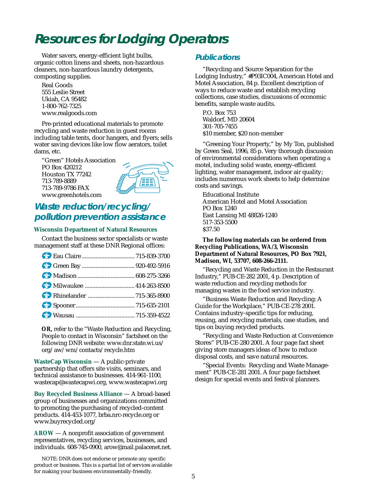# **Resources for Lodging Operators**

Water savers, energy-efficient light bulbs, organic cotton linens and sheets, non-hazardous cleaners, non-hazardous laundry detergents, composting supplies.

Real Goods 555 Leslie Street Ukiah, CA 95482 1-800-762-7325 www.realgoods.com

Pre-printed educational materials to promote recycling and waste reduction in guest rooms including table tents, door hangers, and flyers; sells water saving devices like low flow aerators, toilet dams, etc.

"Green" Hotels Association PO Box 420212 Houston TX 77242 713-789-8889 713-789-9786 FAX www.greenhotels.com



### **Waste reduction/recycling/ pollution prevention assistance**

#### **Wisconsin Department of Natural Resources**

Contact the business sector specialists or waste management staff at these DNR Regional offices:

**OR,** refer to the "Waste Reduction and Recycling, People to contact in Wisconsin" factsheet on the following DNR website: www.dnr.state.wi.us/ org/aw/wm/contacts/recycle.htm

**WasteCap Wisconsin** — A public-private partnership that offers site visits, seminars, and technical assistance to businesses. 414-961-1100, wastecap@wastecapwi.org, www.wastecapwi.org

**Buy Recycled Business Alliance** — A broad-based group of businesses and organizations committed to promoting the purchasing of recycled-content products. 414-453-1077, brba.nrc-recycle.org or www.buyrecycled.org/

**AROW** — A nonprofit association of government representatives, recycling services, businesses, and individuals. 608-745-0900, arow@mail.palacenet.net.

NOTE: DNR does not endorse or promote any specific product or business. This is a partial list of services available for making your business environmentally-friendly.

#### **Publications**

"Recycling and Source Separation for the Lodging Industry," #P93IC004, American Hotel and Motel Association, 84 p. Excellent description of ways to reduce waste and establish recycling collections, case studies, discussions of economic benefits, sample waste audits.

P.O. Box 753 Waldorf, MD 20604 301-705-7455 \$10 member, \$20 non-member

"Greening Your Property," by My Ton, published by Green Seal, 1996, 85 p. Very thorough discussion of environmental considerations when operating a motel, including solid waste, energy-efficient lighting, water management, indoor air quality; includes numerous work sheets to help determine costs and savings.

Educational Institute American Hotel and Motel Association PO Box 1240 East Lansing MI 48826-1240 517-353-5500 \$37.50

**The following materials can be ordered from Recycling Publications, WA/3, Wisconsin Department of Natural Resources, PO Box 7921, Madison, WI, 53707, 608-266-2111.**

"Recycling and Waste Reduction in the Restaurant Industry," PUB-CE-282 2001, 4 p. Description of waste reduction and recycling methods for managing wastes in the food service industry.

"Business Waste Reduction and Recycling: A Guide for the Workplace," PUB-CE-278 2001. Contains industry-specific tips for reducing, reusing, and recycling materials, case studies, and tips on buying recycled products.

"Recycling and Waste Reduction at Convenience Stores" PUB-CE-280 2001. A four page fact sheet giving store managers ideas of how to reduce disposal costs, and save natural resources.

"Special Events: Recycling and Waste Management" PUB-CE-281 2001. A four page factsheet design for special events and festival planners.